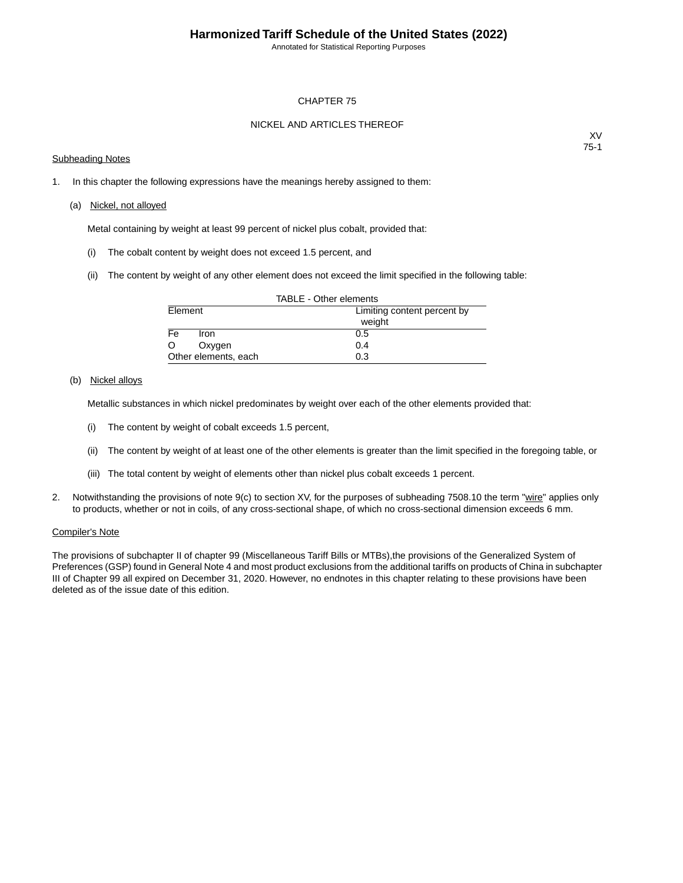Annotated for Statistical Reporting Purposes

### CHAPTER 75

### NICKEL AND ARTICLES THEREOF

### Subheading Notes

XV 75-1

1. In this chapter the following expressions have the meanings hereby assigned to them:

#### (a) Nickel, not alloyed

Metal containing by weight at least 99 percent of nickel plus cobalt, provided that:

- (i) The cobalt content by weight does not exceed 1.5 percent, and
- (ii) The content by weight of any other element does not exceed the limit specified in the following table:

| TABLE - Other elements |                             |  |  |  |  |  |
|------------------------|-----------------------------|--|--|--|--|--|
| Element                | Limiting content percent by |  |  |  |  |  |
|                        | weight                      |  |  |  |  |  |
| Fe<br>Iron.            | 0.5                         |  |  |  |  |  |
| O<br>Oxygen            | 0.4                         |  |  |  |  |  |
| Other elements, each   | 0.3                         |  |  |  |  |  |

### (b) Nickel alloys

Metallic substances in which nickel predominates by weight over each of the other elements provided that:

- (i) The content by weight of cobalt exceeds 1.5 percent,
- (ii) The content by weight of at least one of the other elements is greater than the limit specified in the foregoing table, or
- (iii) The total content by weight of elements other than nickel plus cobalt exceeds 1 percent.
- 2. Notwithstanding the provisions of note 9(c) to section XV, for the purposes of subheading 7508.10 the term "wire" applies only to products, whether or not in coils, of any cross-sectional shape, of which no cross-sectional dimension exceeds 6 mm.

#### Compiler's Note

The provisions of subchapter II of chapter 99 (Miscellaneous Tariff Bills or MTBs),the provisions of the Generalized System of Preferences (GSP) found in General Note 4 and most product exclusions from the additional tariffs on products of China in subchapter III of Chapter 99 all expired on December 31, 2020. However, no endnotes in this chapter relating to these provisions have been deleted as of the issue date of this edition.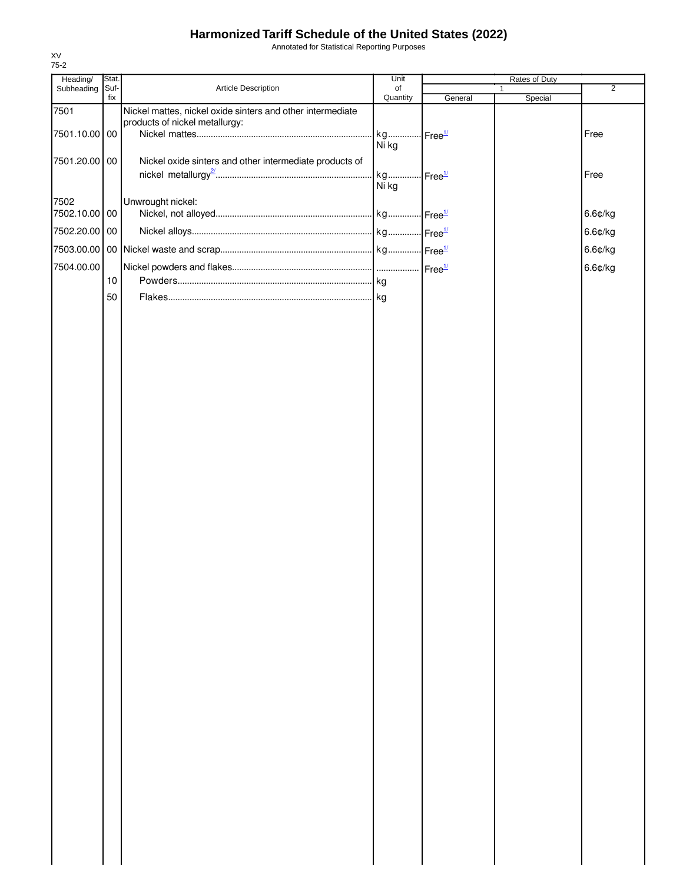Annotated for Statistical Reporting Purposes

| Heading/              | Stat.       |                                                                                              | Unit                           | Rates of Duty |                         |                |
|-----------------------|-------------|----------------------------------------------------------------------------------------------|--------------------------------|---------------|-------------------------|----------------|
| Subheading            | Suf-<br>fix | Article Description                                                                          | of<br>Quantity                 | General       | $\mathbf{1}$<br>Special | $\overline{2}$ |
| 7501<br>7501.10.00 00 |             | Nickel mattes, nickel oxide sinters and other intermediate<br>products of nickel metallurgy: | Ni kg                          |               |                         | Free           |
| 7501.20.00 00         |             | Nickel oxide sinters and other intermediate products of                                      | kg Free <sup>1/</sup><br>Ni kg |               |                         | Free           |
| 7502<br>7502.10.00 00 |             | Unwrought nickel:                                                                            |                                |               |                         | 6.6¢/kg        |
| 7502.20.00 00         |             |                                                                                              |                                |               |                         | 6.6¢/kg        |
|                       |             |                                                                                              |                                |               |                         | 6.6¢/kg        |
| 7504.00.00            |             |                                                                                              |                                |               |                         | 6.6¢/kg        |
|                       | 10          |                                                                                              |                                |               |                         |                |
|                       | 50          |                                                                                              |                                |               |                         |                |
|                       |             |                                                                                              |                                |               |                         |                |
|                       |             |                                                                                              |                                |               |                         |                |
|                       |             |                                                                                              |                                |               |                         |                |
|                       |             |                                                                                              |                                |               |                         |                |
|                       |             |                                                                                              |                                |               |                         |                |
|                       |             |                                                                                              |                                |               |                         |                |
|                       |             |                                                                                              |                                |               |                         |                |
|                       |             |                                                                                              |                                |               |                         |                |
|                       |             |                                                                                              |                                |               |                         |                |
|                       |             |                                                                                              |                                |               |                         |                |
|                       |             |                                                                                              |                                |               |                         |                |
|                       |             |                                                                                              |                                |               |                         |                |
|                       |             |                                                                                              |                                |               |                         |                |
|                       |             |                                                                                              |                                |               |                         |                |
|                       |             |                                                                                              |                                |               |                         |                |
|                       |             |                                                                                              |                                |               |                         |                |
|                       |             |                                                                                              |                                |               |                         |                |
|                       |             |                                                                                              |                                |               |                         |                |
|                       |             |                                                                                              |                                |               |                         |                |
|                       |             |                                                                                              |                                |               |                         |                |
|                       |             |                                                                                              |                                |               |                         |                |
|                       |             |                                                                                              |                                |               |                         |                |
|                       |             |                                                                                              |                                |               |                         |                |
|                       |             |                                                                                              |                                |               |                         |                |
|                       |             |                                                                                              |                                |               |                         |                |
|                       |             |                                                                                              |                                |               |                         |                |
|                       |             |                                                                                              |                                |               |                         |                |
|                       |             |                                                                                              |                                |               |                         |                |
|                       |             |                                                                                              |                                |               |                         |                |
|                       |             |                                                                                              |                                |               |                         |                |
|                       |             |                                                                                              |                                |               |                         |                |
|                       |             |                                                                                              |                                |               |                         |                |
|                       |             |                                                                                              |                                |               |                         |                |
|                       |             |                                                                                              |                                |               |                         |                |
|                       |             |                                                                                              |                                |               |                         |                |
|                       |             |                                                                                              |                                |               |                         |                |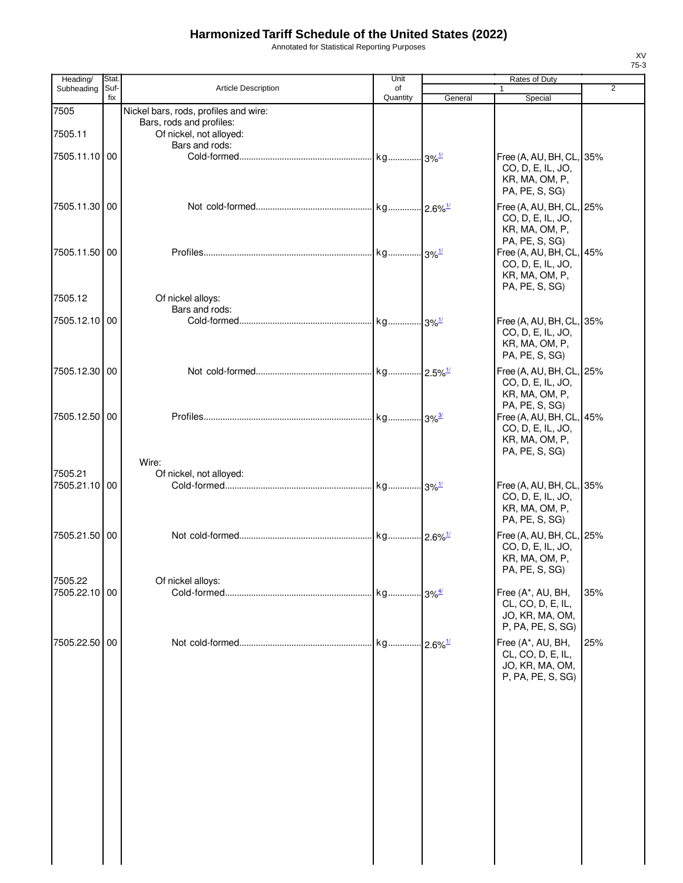Annotated for Statistical Reporting Purposes

| Heading/      | Stat.       |                                                                       | Unit           |         | Rates of Duty                                                                                       |                |
|---------------|-------------|-----------------------------------------------------------------------|----------------|---------|-----------------------------------------------------------------------------------------------------|----------------|
| Subheading    | Suf-<br>fix | <b>Article Description</b>                                            | of<br>Quantity | General | $\mathbf{1}$<br>Special                                                                             | $\overline{2}$ |
| 7505          |             | Nickel bars, rods, profiles and wire:                                 |                |         |                                                                                                     |                |
| 7505.11       |             | Bars, rods and profiles:<br>Of nickel, not alloyed:<br>Bars and rods: |                |         |                                                                                                     |                |
| 7505.11.10 00 |             |                                                                       |                |         | Free (A, AU, BH, CL, 35%<br>CO, D, E, IL, JO,<br>KR, MA, OM, P,<br>PA, PE, S, SG)                   |                |
| 7505.11.30 00 |             |                                                                       |                |         | Free (A, AU, BH, CL, 25%<br>CO, D, E, IL, JO,<br>KR, MA, OM, P,                                     |                |
| 7505.11.50 00 |             |                                                                       |                |         | PA, PE, S, SG)<br>Free (A, AU, BH, CL, 45%<br>CO, D, E, IL, JO,<br>KR, MA, OM, P,<br>PA, PE, S, SG) |                |
| 7505.12       |             | Of nickel alloys:<br>Bars and rods:                                   |                |         |                                                                                                     |                |
| 7505.12.10 00 |             |                                                                       |                |         | Free (A, AU, BH, CL, 35%<br>CO, D, E, IL, JO,<br>KR, MA, OM, P,<br>PA, PE, S, SG)                   |                |
| 7505.12.30 00 |             |                                                                       |                |         | Free (A, AU, BH, CL, 25%<br>CO, D, E, IL, JO,<br>KR, MA, OM, P,<br>PA, PE, S, SG)                   |                |
| 7505.12.50 00 |             |                                                                       |                |         | Free (A, AU, BH, CL, 45%<br>CO, D, E, IL, JO,<br>KR, MA, OM, P,<br>PA, PE, S, SG)                   |                |
| 7505.21       |             | Wire:<br>Of nickel, not alloyed:                                      |                |         |                                                                                                     |                |
| 7505.21.10 00 |             |                                                                       |                |         | Free (A, AU, BH, CL, 35%<br>CO, D, E, IL, JO,<br>KR, MA, OM, P,<br>PA, PE, S, SG)                   |                |
| 7505.21.50 00 |             |                                                                       |                |         | Free (A, AU, BH, CL, 25%<br>CO, D, E, IL, JO,<br>KR, MA, OM, P,<br>PA, PE, S, SG)                   |                |
| 7505.22       |             | Of nickel alloys:                                                     |                |         |                                                                                                     |                |
| 7505.22.10 00 |             |                                                                       |                |         | Free (A*, AU, BH,<br>CL, CO, D, E, IL,<br>JO, KR, MA, OM,<br>P, PA, PE, S, SG)                      | 35%            |
| 7505.22.50 00 |             |                                                                       |                |         | Free (A*, AU, BH,<br>CL, CO, D, E, IL,<br>JO, KR, MA, OM,<br>P, PA, PE, S, SG)                      | 25%            |
|               |             |                                                                       |                |         |                                                                                                     |                |
|               |             |                                                                       |                |         |                                                                                                     |                |
|               |             |                                                                       |                |         |                                                                                                     |                |
|               |             |                                                                       |                |         |                                                                                                     |                |
|               |             |                                                                       |                |         |                                                                                                     |                |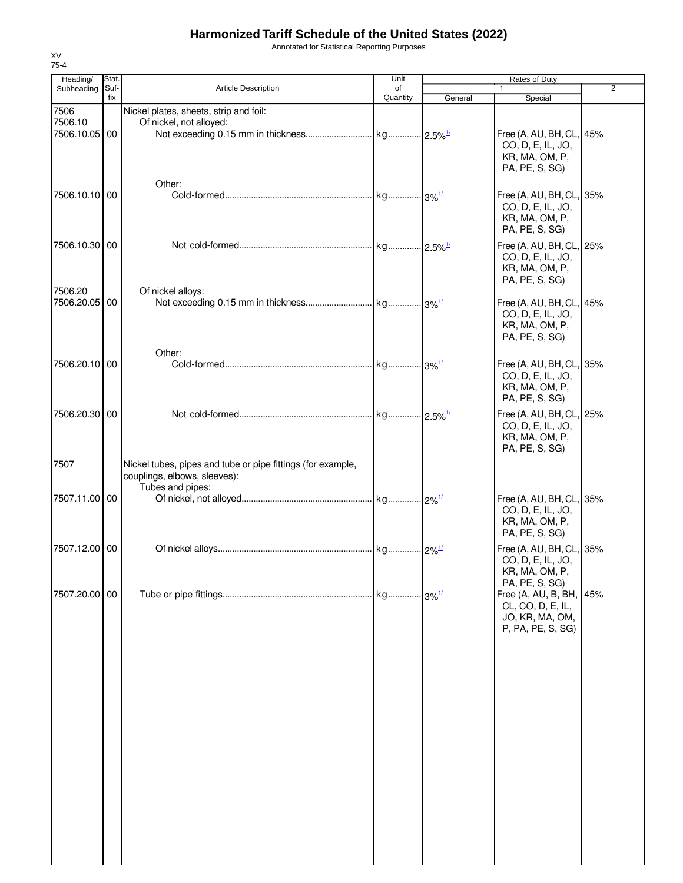Annotated for Statistical Reporting Purposes

| Heading/        | Stat.<br>Unit |                                                             |          | Rates of Duty          |                                     |                |
|-----------------|---------------|-------------------------------------------------------------|----------|------------------------|-------------------------------------|----------------|
| Subheading      | Suf-<br>fix   | Article Description                                         | of       |                        | 1                                   | $\overline{2}$ |
|                 |               |                                                             | Quantity | General                | Special                             |                |
| 7506<br>7506.10 |               | Nickel plates, sheets, strip and foil:                      |          |                        |                                     |                |
|                 |               | Of nickel, not alloyed:                                     |          |                        |                                     |                |
| 7506.10.05 00   |               |                                                             |          |                        | Free (A, AU, BH, CL, 45%            |                |
|                 |               |                                                             |          |                        | CO, D, E, IL, JO,<br>KR, MA, OM, P, |                |
|                 |               |                                                             |          |                        | PA, PE, S, SG)                      |                |
|                 |               |                                                             |          |                        |                                     |                |
|                 |               | Other:                                                      |          |                        |                                     |                |
| 7506.10.10 00   |               |                                                             |          |                        | Free (A, AU, BH, CL, 35%            |                |
|                 |               |                                                             |          |                        | CO, D, E, IL, JO,                   |                |
|                 |               |                                                             |          |                        | KR, MA, OM, P,                      |                |
|                 |               |                                                             |          |                        | PA, PE, S, SG)                      |                |
| 7506.10.30 00   |               |                                                             |          |                        | Free (A, AU, BH, CL, 25%            |                |
|                 |               |                                                             |          |                        | CO, D, E, IL, JO,                   |                |
|                 |               |                                                             |          |                        | KR, MA, OM, P,                      |                |
|                 |               |                                                             |          |                        | PA, PE, S, SG)                      |                |
| 7506.20         |               | Of nickel alloys:                                           |          |                        |                                     |                |
| 7506.20.05      | 00            |                                                             |          |                        | Free (A, AU, BH, CL, 45%            |                |
|                 |               |                                                             |          |                        | CO, D, E, IL, JO,                   |                |
|                 |               |                                                             |          |                        | KR, MA, OM, P,                      |                |
|                 |               |                                                             |          |                        | PA, PE, S, SG)                      |                |
|                 |               | Other:                                                      |          |                        |                                     |                |
| 7506.20.10 00   |               |                                                             |          |                        |                                     |                |
|                 |               |                                                             |          |                        | Free (A, AU, BH, CL, 35%            |                |
|                 |               |                                                             |          |                        | CO, D, E, IL, JO,                   |                |
|                 |               |                                                             |          |                        | KR, MA, OM, P,                      |                |
|                 |               |                                                             |          |                        | PA, PE, S, SG)                      |                |
| 7506.20.30 00   |               |                                                             |          | $-2.5\%$ <sup>1/</sup> | Free (A, AU, BH, CL, 25%            |                |
|                 |               |                                                             |          |                        | CO, D, E, IL, JO,                   |                |
|                 |               |                                                             |          |                        | KR, MA, OM, P,                      |                |
|                 |               |                                                             |          |                        | PA, PE, S, SG)                      |                |
| 7507            |               | Nickel tubes, pipes and tube or pipe fittings (for example, |          |                        |                                     |                |
|                 |               | couplings, elbows, sleeves):                                |          |                        |                                     |                |
|                 |               | Tubes and pipes:                                            |          |                        |                                     |                |
| 7507.11.00 00   |               |                                                             |          |                        | Free (A, AU, BH, CL, 35%            |                |
|                 |               |                                                             |          |                        | CO, D, E, IL, JO,                   |                |
|                 |               |                                                             |          |                        | KR, MA, OM, P,                      |                |
|                 |               |                                                             |          |                        | PA, PE, S, SG)                      |                |
|                 |               |                                                             |          |                        |                                     |                |
| 7507.12.00 00   |               |                                                             |          | $2\%^{1/2}$            | Free (A, AU, BH, CL, 35%            |                |
|                 |               |                                                             |          |                        | CO, D, E, IL, JO,                   |                |
|                 |               |                                                             |          |                        | KR, MA, OM, P,                      |                |
|                 |               |                                                             |          |                        | PA, PE, S, SG)                      |                |
| 7507.20.00 00   |               |                                                             |          |                        | Free (A, AU, B, BH, 45%             |                |
|                 |               |                                                             |          |                        | CL, CO, D, E, IL,                   |                |
|                 |               |                                                             |          |                        | JO, KR, MA, OM,                     |                |
|                 |               |                                                             |          |                        | P, PA, PE, S, SG)                   |                |
|                 |               |                                                             |          |                        |                                     |                |
|                 |               |                                                             |          |                        |                                     |                |
|                 |               |                                                             |          |                        |                                     |                |
|                 |               |                                                             |          |                        |                                     |                |
|                 |               |                                                             |          |                        |                                     |                |
|                 |               |                                                             |          |                        |                                     |                |
|                 |               |                                                             |          |                        |                                     |                |
|                 |               |                                                             |          |                        |                                     |                |
|                 |               |                                                             |          |                        |                                     |                |
|                 |               |                                                             |          |                        |                                     |                |
|                 |               |                                                             |          |                        |                                     |                |
|                 |               |                                                             |          |                        |                                     |                |
|                 |               |                                                             |          |                        |                                     |                |
|                 |               |                                                             |          |                        |                                     |                |
|                 |               |                                                             |          |                        |                                     |                |
|                 |               |                                                             |          |                        |                                     |                |
|                 |               |                                                             |          |                        |                                     |                |
|                 |               |                                                             |          |                        |                                     |                |
|                 |               |                                                             |          |                        |                                     |                |
|                 |               |                                                             |          |                        |                                     |                |
|                 |               |                                                             |          |                        |                                     |                |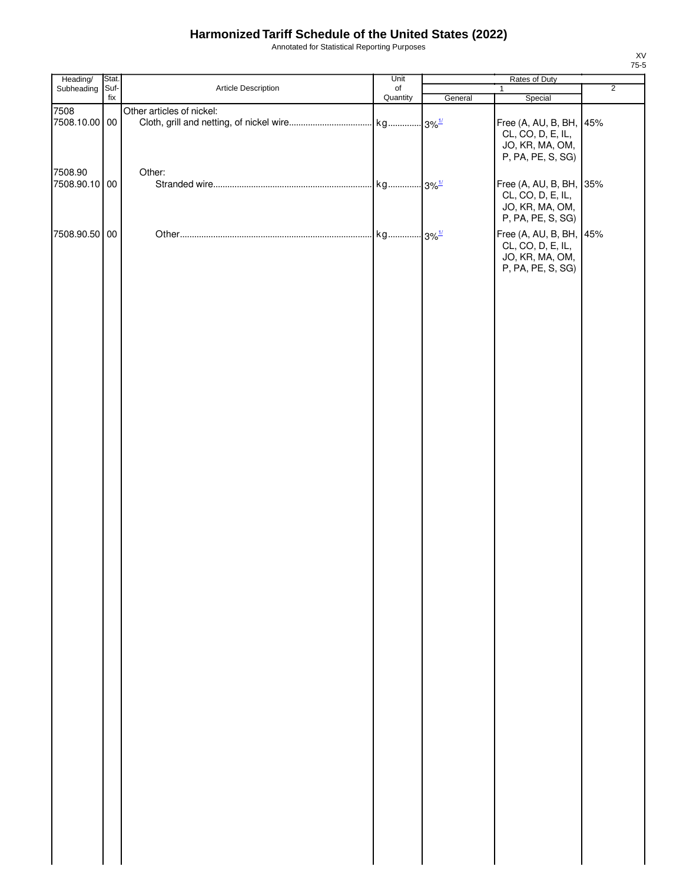Annotated for Statistical Reporting Purposes

| Heading/                 | Stat. |                           | Unit     | Rates of Duty |                                                                                                           |                |
|--------------------------|-------|---------------------------|----------|---------------|-----------------------------------------------------------------------------------------------------------|----------------|
| Subheading               | Suf-  | Article Description       | of       |               | $\mathbf{1}$                                                                                              | $\overline{2}$ |
|                          | fix   |                           | Quantity | General       | Special                                                                                                   |                |
| 7508<br>7508.10.00 00    |       | Other articles of nickel: |          |               | Free (A, AU, B, BH, 45%<br>CL, CO, D, E, IL,<br>JO, KR, MA, OM,<br>P, PA, PE, S, SG)                      |                |
| 7508.90<br>7508.90.10 00 |       | Other:                    |          |               | Free (A, AU, B, BH, 35%<br>CL, CO, D, E, IL,<br>JO, KR, MA, OM,                                           |                |
| 7508.90.50 00            |       |                           |          |               | P, PA, PE, S, SG)<br>Free (A, AU, B, BH, 45%<br>CL, CO, D, E, IL,<br>JO, KR, MA, OM,<br>P, PA, PE, S, SG) |                |
|                          |       |                           |          |               |                                                                                                           |                |